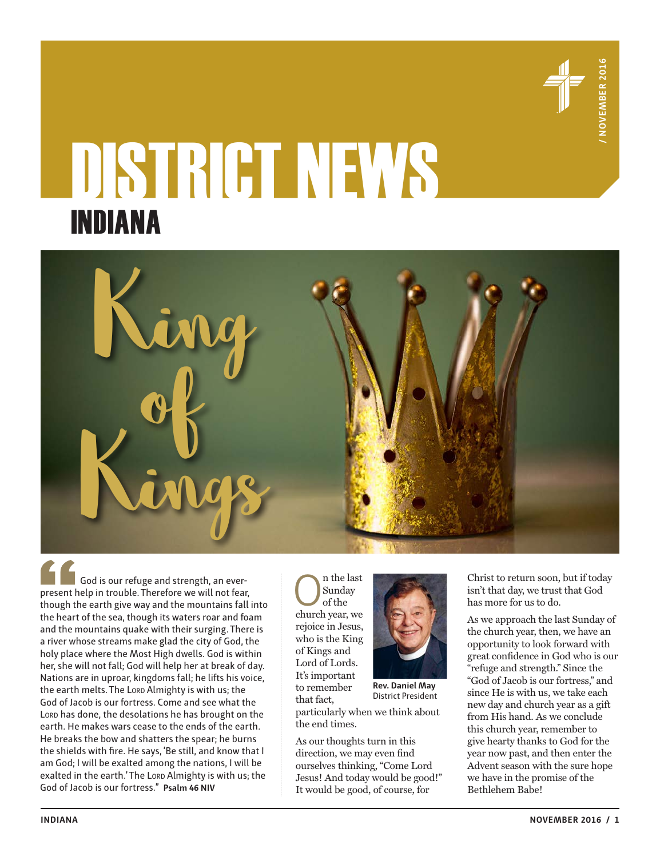

# DISTRICT NEWS INDIANA



God is our refuge and strength, an everpresent help in trouble. Therefore we will not fear, though the earth give way and the mountains fall into the heart of the sea, though its waters roar and foam and the mountains quake with their surging. There is a river whose streams make glad the city of God, the holy place where the Most High dwells. God is within her, she will not fall; God will help her at break of day. Nations are in uproar, kingdoms fall; he lifts his voice, the earth melts. The Lord Almighty is with us; the God of Jacob is our fortress. Come and see what the Lord has done, the desolations he has brought on the earth. He makes wars cease to the ends of the earth. He breaks the bow and shatters the spear; he burns the shields with fire. He says, 'Be still, and know that I am God; I will be exalted among the nations, I will be exalted in the earth.' The Lord Almighty is with us; the God of Jacob is our fortress." **Psalm 46 NIV**

 $\begin{array}{c} \displaystyle\bigcap_{\text{Sunday}} \text{n the last} \\ \text{of the} \\ \text{church year, we} \end{array}$ Sunday of the rejoice in Jesus, who is the King of Kings and Lord of Lords. It's important to remember that fact,



**Rev. Daniel May** District President

particularly when we think about the end times.

As our thoughts turn in this direction, we may even find ourselves thinking, "Come Lord Jesus! And today would be good!" It would be good, of course, for

Christ to return soon, but if today isn't that day, we trust that God has more for us to do.

As we approach the last Sunday of the church year, then, we have an opportunity to look forward with great confidence in God who is our "refuge and strength." Since the "God of Jacob is our fortress," and since He is with us, we take each new day and church year as a gift from His hand. As we conclude this church year, remember to give hearty thanks to God for the year now past, and then enter the Advent season with the sure hope we have in the promise of the Bethlehem Babe!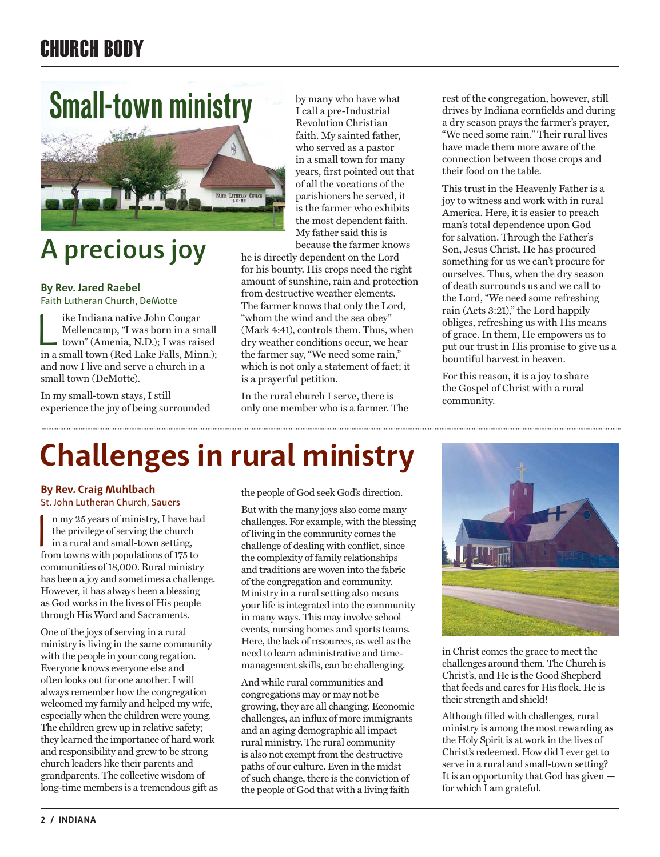# CHURCH BODY

# **Small-town ministry**



# **A precious joy**

## **By Rev. Jared Raebel**  Faith Lutheran Church, DeMotte

ike Indiana native John Cougar<br>Mellencamp, "I was born in a sn<br>town" (Amenia, N.D.); I was rais<br>in a small town (Red I ake Falls Min Mellencamp, "I was born in a small town" (Amenia, N.D.); I was raised in a small town (Red Lake Falls, Minn.); and now I live and serve a church in a small town (DeMotte).

In my small-town stays, I still experience the joy of being surrounded by many who have what I call a pre-Industrial Revolution Christian faith. My sainted father, who served as a pastor in a small town for many years, first pointed out that of all the vocations of the parishioners he served, it is the farmer who exhibits the most dependent faith. My father said this is because the farmer knows

he is directly dependent on the Lord for his bounty. His crops need the right amount of sunshine, rain and protection from destructive weather elements. The farmer knows that only the Lord, "whom the wind and the sea obey" (Mark 4:41), controls them. Thus, when dry weather conditions occur, we hear the farmer say, "We need some rain," which is not only a statement of fact; it is a prayerful petition.

In the rural church I serve, there is only one member who is a farmer. The rest of the congregation, however, still drives by Indiana cornfields and during a dry season prays the farmer's prayer, "We need some rain." Their rural lives have made them more aware of the connection between those crops and their food on the table.

This trust in the Heavenly Father is a joy to witness and work with in rural America. Here, it is easier to preach man's total dependence upon God for salvation. Through the Father's Son, Jesus Christ, He has procured something for us we can't procure for ourselves. Thus, when the dry season of death surrounds us and we call to the Lord, "We need some refreshing rain (Acts 3:21)," the Lord happily obliges, refreshing us with His means of grace. In them, He empowers us to put our trust in His promise to give us a bountiful harvest in heaven.

For this reason, it is a joy to share the Gospel of Christ with a rural community.

# **Challenges in rural ministry**

## **By Rev. Craig Muhlbach** St. John Lutheran Church, Sauers

n my 25 years of ministry, I have h<br>the privilege of serving the church<br>in a rural and small-town setting,<br>from towns with populations of 175 to n my 25 years of ministry, I have had the privilege of serving the church from towns with populations of 175 to communities of 18,000. Rural ministry has been a joy and sometimes a challenge. However, it has always been a blessing as God works in the lives of His people through His Word and Sacraments.

One of the joys of serving in a rural ministry is living in the same community with the people in your congregation. Everyone knows everyone else and often looks out for one another. I will always remember how the congregation welcomed my family and helped my wife, especially when the children were young. The children grew up in relative safety; they learned the importance of hard work and responsibility and grew to be strong church leaders like their parents and grandparents. The collective wisdom of long-time members is a tremendous gift as the people of God seek God's direction.

But with the many joys also come many challenges. For example, with the blessing of living in the community comes the challenge of dealing with conflict, since the complexity of family relationships and traditions are woven into the fabric of the congregation and community. Ministry in a rural setting also means your life is integrated into the community in many ways. This may involve school events, nursing homes and sports teams. Here, the lack of resources, as well as the need to learn administrative and timemanagement skills, can be challenging.

And while rural communities and congregations may or may not be growing, they are all changing. Economic challenges, an influx of more immigrants and an aging demographic all impact rural ministry. The rural community is also not exempt from the destructive paths of our culture. Even in the midst of such change, there is the conviction of the people of God that with a living faith



in Christ comes the grace to meet the challenges around them. The Church is Christ's, and He is the Good Shepherd that feeds and cares for His flock. He is their strength and shield!

Although filled with challenges, rural ministry is among the most rewarding as the Holy Spirit is at work in the lives of Christ's redeemed. How did I ever get to serve in a rural and small-town setting? It is an opportunity that God has given for which I am grateful.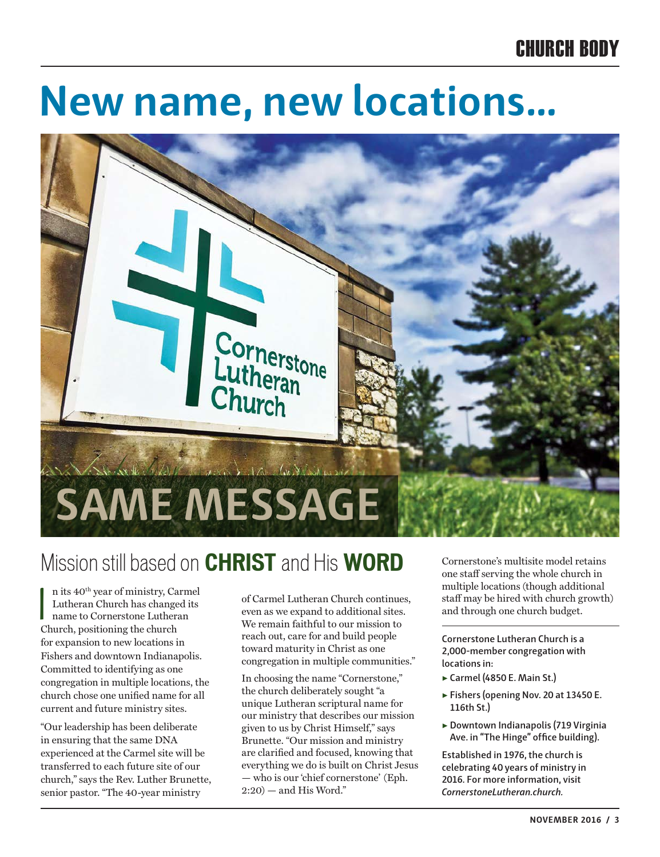## CHURCH BODY

# **New name, new locations…**



# Mission still based on **CHRIST** and His **WORD**

In its 40<sup>th</sup> year of ministry, Ca<br>
Lutheran Church has change<br>
name to Cornerstone Luthera<br>
Church, positioning the church n its 40th year of ministry, Carmel Lutheran Church has changed its name to Cornerstone Lutheran for expansion to new locations in Fishers and downtown Indianapolis. Committed to identifying as one congregation in multiple locations, the church chose one unified name for all current and future ministry sites.

"Our leadership has been deliberate in ensuring that the same DNA experienced at the Carmel site will be transferred to each future site of our church," says the Rev. Luther Brunette, senior pastor. "The 40-year ministry

of Carmel Lutheran Church continues, even as we expand to additional sites. We remain faithful to our mission to reach out, care for and build people toward maturity in Christ as one congregation in multiple communities."

In choosing the name "Cornerstone," the church deliberately sought "a unique Lutheran scriptural name for our ministry that describes our mission given to us by Christ Himself," says Brunette. "Our mission and ministry are clarified and focused, knowing that everything we do is built on Christ Jesus — who is our 'chief cornerstone' (Eph.  $2:20$  – and His Word."

Cornerstone's multisite model retains one staff serving the whole church in multiple locations (though additional staff may be hired with church growth) and through one church budget.

**Cornerstone Lutheran Church is a 2,000-member congregation with locations in:**

- ▶ **Carmel (4850 E. Main St.)**
- ▶ **Fishers (opening Nov. 20 at 13450 E. 116th St.)**
- ▶ **Downtown Indianapolis (719 Virginia Ave. in "The Hinge" office building).**

**Established in 1976, the church is celebrating 40 years of ministry in 2016. For more information, visit**  *CornerstoneLutheran.church.*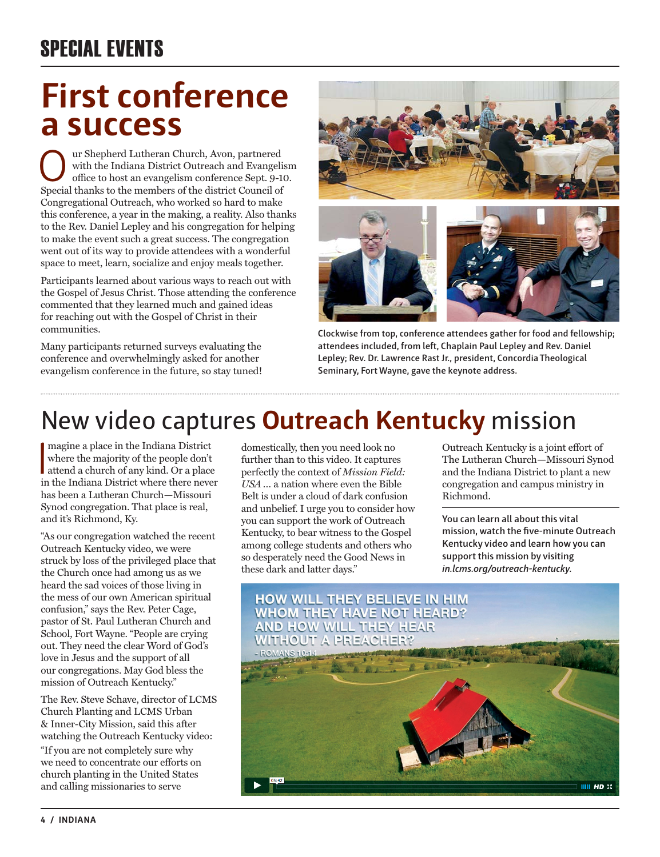# SPECIAL EVENTS

# **First conference a success**

Uur Shepherd Lutheran Church, Avon, partnered<br>
office to host an evangelism conference Sept. 9-10.<br>
Special thanks to the members of the district Council of with the Indiana District Outreach and Evangelism Special thanks to the members of the district Council of Congregational Outreach, who worked so hard to make this conference, a year in the making, a reality. Also thanks to the Rev. Daniel Lepley and his congregation for helping to make the event such a great success. The congregation went out of its way to provide attendees with a wonderful space to meet, learn, socialize and enjoy meals together.

Participants learned about various ways to reach out with the Gospel of Jesus Christ. Those attending the conference commented that they learned much and gained ideas for reaching out with the Gospel of Christ in their communities.

Many participants returned surveys evaluating the conference and overwhelmingly asked for another evangelism conference in the future, so stay tuned!



**Clockwise from top, conference attendees gather for food and fellowship; attendees included, from left, Chaplain Paul Lepley and Rev. Daniel Lepley; Rev. Dr. Lawrence Rast Jr., president, Concordia Theological Seminary, Fort Wayne, gave the keynote address.**

# New video captures **Outreach Kentucky** mission

magine a place in the Indiana District<br>where the majority of the people don't<br>attend a church of any kind. Or a place<br>in the Indiana District where there never magine a place in the Indiana District where the majority of the people don't in the Indiana District where there never has been a Lutheran Church—Missouri Synod congregation. That place is real, and it's Richmond, Ky.

"As our congregation watched the recent Outreach Kentucky video, we were struck by loss of the privileged place that the Church once had among us as we heard the sad voices of those living in the mess of our own American spiritual confusion," says the Rev. Peter Cage, pastor of St. Paul Lutheran Church and School, Fort Wayne. "People are crying out. They need the clear Word of God's love in Jesus and the support of all our congregations. May God bless the mission of Outreach Kentucky."

The Rev. Steve Schave, director of LCMS Church Planting and LCMS Urban & Inner-City Mission, said this after watching the Outreach Kentucky video:

"If you are not completely sure why we need to concentrate our efforts on church planting in the United States and calling missionaries to serve

domestically, then you need look no further than to this video. It captures perfectly the context of *Mission Field: USA …* a nation where even the Bible Belt is under a cloud of dark confusion and unbelief. I urge you to consider how you can support the work of Outreach Kentucky, to bear witness to the Gospel among college students and others who so desperately need the Good News in these dark and latter days."

Outreach Kentucky is a joint effort of The Lutheran Church—Missouri Synod and the Indiana District to plant a new congregation and campus ministry in Richmond.

**You can learn all about this vital mission, watch the five-minute Outreach Kentucky video and learn how you can support this mission by visiting** *in.lcms.org/outreach-kentucky***.**

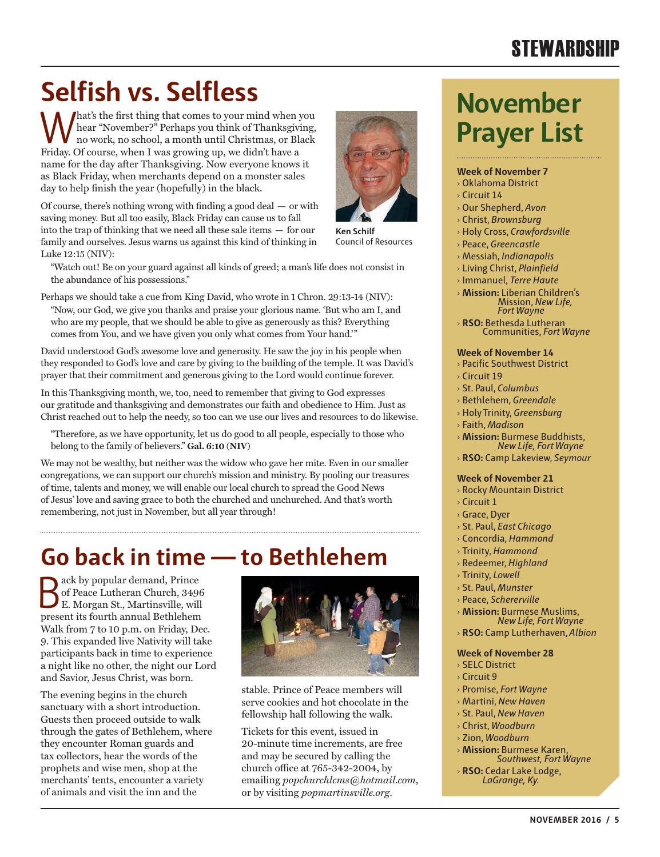# **STEWARDSHIP**

# Selfish vs. Selfless<br>
Movember

What's the first thing that comes to your mind when you hear "November?" Perhaps you think of Thanksgiving, no work, no school, a month until Christmas, or Black hear "November?" Perhaps you think of Thanksgiving, no work, no school, a month until Christmas, or Black Friday. Of course, when I was growing up, we didn't have a name for the day after Thanksgiving. Now everyone knows it as Black Friday, when merchants depend on a monster sales day to help finish the year (hopefully) in the black.

Of course, there's nothing wrong with finding a good deal — or with saving money. But all too easily, Black Friday can cause us to fall into the trap of thinking that we need all these sale items — for our family and ourselves. Jesus warns us against this kind of thinking in Luke 12:15 (NIV):



Perhaps we should take a cue from King David, who wrote in 1 Chron. 29:13-14 (NIV): "Now, our God, we give you thanks and praise your glorious name. 'But who am I, and who are my people, that we should be able to give as generously as this? Everything comes from You, and we have given you only what comes from Your hand.'"

David understood God's awesome love and generosity. He saw the joy in his people when they responded to God's love and care by giving to the building of the temple. It was David's prayer that their commitment and generous giving to the Lord would continue forever.

In this Thanksgiving month, we, too, need to remember that giving to God expresses our gratitude and thanksgiving and demonstrates our faith and obedience to Him. Just as Christ reached out to help the needy, so too can we use our lives and resources to do likewise.

"Therefore, as we have opportunity, let us do good to all people, especially to those who belong to the family of believers." **Gal. 6:10 (NIV)**

We may not be wealthy, but neither was the widow who gave her mite. Even in our smaller congregations, we can support our church's mission and ministry. By pooling our treasures of time, talents and money, we will enable our local church to spread the Good News of Jesus' love and saving grace to both the churched and unchurched. And that's worth remembering, not just in November, but all year through!

# **Go back in time — to Bethlehem**

ack by popular demand, Prince of Peace Lutheran Church, 3496 E. Morgan St., Martinsville, will present its fourth annual Bethlehem Walk from 7 to 10 p.m. on Friday, Dec. 9. This expanded live Nativity will take participants back in time to experience a night like no other, the night our Lord and Savior, Jesus Christ, was born.

The evening begins in the church sanctuary with a short introduction. Guests then proceed outside to walk through the gates of Bethlehem, where they encounter Roman guards and tax collectors, hear the words of the prophets and wise men, shop at the merchants' tents, encounter a variety of animals and visit the inn and the



stable. Prince of Peace members will serve cookies and hot chocolate in the fellowship hall following the walk.

Tickets for this event, issued in 20-minute time increments, are free and may be secured by calling the church office at 765-342-2004, by emailing *popchurchlcms@hotmail.com*, or by visiting *popmartinsville.org*.



## **Week of November 7**

- › Oklahoma District
- › Circuit 14
- › Our Shepherd, *Avon*
- › Christ, *Brownsburg*
- › Holy Cross, *Crawfordsville*
- › Peace, *Greencastle*
- › Messiah, *Indianapolis*
- › Living Christ, *Plainfield*
- › Immanuel, *Terre Haute*
- › **Mission:** Liberian Children's Mission, *New Life, Fort Wayne*
- › **RSO:** Bethesda Lutheran Communities, *Fort Wayne*

## **Week of November 14**

- › Pacific Southwest District › Circuit 19
- › St. Paul, *Columbus*
- › Bethlehem, *Greendale*
- › Holy Trinity, *Greensburg*
- › Faith, *Madison*
- › **Mission:** Burmese Buddhists, *New Life, Fort Wayne*
- › **RSO:** Camp Lakeview, *Seymour*

## **Week of November 21**

- › Rocky Mountain District
- $\frac{1}{2}$  Circuit 1
- › Grace, Dyer
- › St. Paul, *East Chicago*
- › Concordia, *Hammond*
- › Trinity, *Hammond*
- › Redeemer, *Highland*
- › Trinity, *Lowell*
- › St. Paul, *Munster*
- › Peace, *Schererville*
- › **Mission:** Burmese Muslims, *New Life, Fort Wayne*
- › **RSO:** Camp Lutherhaven, *Albion*

## **Week of November 28**

- › SELC District
- › Circuit 9
- › Promise, *Fort Wayne*
- › Martini, *New Haven*
- › St. Paul, *New Haven*
- › Christ, *Woodburn*
- › Zion, *Woodburn*
- › **Mission:** Burmese Karen, *Southwest, Fort Wayne*
- › **RSO:** Cedar Lake Lodge, *LaGrange, Ky.*

**Ken Schilf** Council of Resources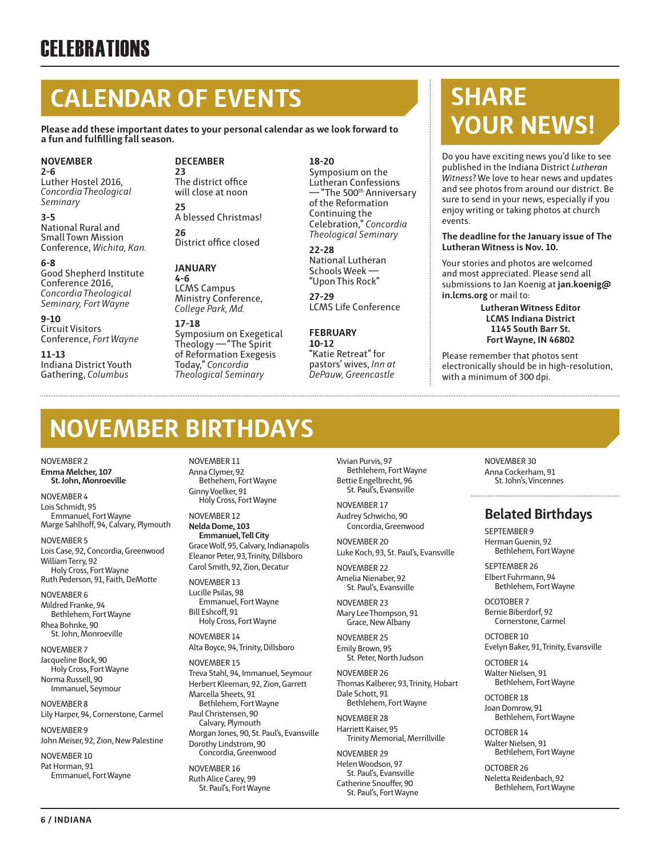# **CALENDAR OF EVENTS**

**Please add these important dates to your personal calendar as we look forward to a fun and fulfilling fall season.**

### **NOVEMBER 2-6**

Luther Hostel 2016, *Concordia Theological Seminary*

**3-5** National Rural and Small Town Mission Conference, *Wichita, Kan.*

### **6-8**

Good Shepherd Institute Conference 2016, *Concordia Theological Seminary, Fort Wayne*

**9-10** Circuit Visitors Conference, *Fort Wayne* 

**11-13** Indiana District Youth Gathering, *Columbus*

## **DECEMBER**

**23** The district office will close at noon **25** A blessed Christmas! **26** District office closed

## **JANUARY**

**4-6** LCMS Campus Ministry Conference, *College Park, Md.*

### **17-18** Symposium on Exegetical Theology —"The Spirit of Reformation Exegesis Today," *Concordia Theological Seminary*

**18-20**

Symposium on the Lutheran Confessions — "The 500th Anniversary of the Reformation Continuing the Celebration," *Concordia Theological Seminary*

## **22-28**

National Lutheran Schools Week — "Upon This Rock"

**27-29** LCMS Life Conference

## **FEBRUARY**

**10-12** "Katie Retreat" for pastors' wives, *Inn at DePauw, Greencastle*

# **SHARE YOUR NEWS!**

Do you have exciting news you'd like to see published in the Indiana District *Lutheran Witness*? We love to hear news and updates and see photos from around our district. Be sure to send in your news, especially if you enjoy writing or taking photos at church events.

## **The deadline for the January issue of The Lutheran Witness is Nov. 10.**

Your stories and photos are welcomed and most appreciated. Please send all submissions to Jan Koenig at **jan.koenig@ in.lcms.org** or mail to:

> **Lutheran Witness Editor LCMS Indiana District 1145 South Barr St. Fort Wayne, IN 46802**

Please remember that photos sent electronically should be in high-resolution, with a minimum of 300 dpi.

# **NOVEMBER BIRTHDAYS**

NOVEMBER 2 **Emma Melcher, 107 St. John, Monroeville**

NOVEMBER 4 Lois Schmidt, 95 Emmanuel, Fort Wayne Marge Sahlhoff, 94, Calvary, Plymouth

NOVEMBER 5 Lois Case, 92, Concordia, Greenwood William Terry, 92 Holy Cross, Fort Wayne

Ruth Pederson, 91, Faith, DeMotte NOVEMBER 6

Mildred Franke, 94 Bethlehem, Fort Wayne Rhea Bohnke, 90

St. John, Monroeville NOVEMBER 7 Jacqueline Bock, 90 Holy Cross, Fort Wayne

Norma Russell, 90 Immanuel, Seymour

NOVEMBER 8

Lily Harper, 94, Cornerstone, Carmel NOVEMBER 9

John Meiser, 92, Zion, New Palestine NOVEMBER 10

Pat Horman, 91 Emmanuel, Fort Wayne NOVEMBER 11 Anna Clymer, 92 Bethehem, Fort Wayne Ginny Voelker, 91 Holy Cross, Fort Wayne

NOVEMBER 12 **Nelda Dome, 103 Emmanuel, Tell City** Grace Wolf, 95, Calvary, Indianapolis Eleanor Peter, 93, Trinity, Dillsboro Carol Smith, 92, Zion, Decatur

NOVEMBER 13 Lucille Psilas, 98 Emmanuel, Fort Wayne Bill Eshcoff, 91 Holy Cross, Fort Wayne

NOVEMBER 14 Alta Boyce, 94, Trinity, Dillsboro

NOVEMBER 15 Treva Stahl, 94, Immanuel, Seymour Herbert Kleeman, 92, Zion, Garrett Marcella Sheets, 91 Bethlehem, Fort Wayne Paul Christensen, 90 Calvary, Plymouth Morgan Jones, 90, St. Paul's, Evansville Dorothy Lindstrom, 90 Concordia, Greenwood

NOVEMBER 16 Ruth Alice Carey, 99 St. Paul's, Fort Wayne Vivian Purvis, 97 Bethlehem, Fort Wayne Bettie Engelbrecht, 96 St. Paul's, Evansville

NOVEMBER 17 Audrey Schwicho, 90 Concordia, Greenwood

NOVEMBER 20 Luke Koch, 93, St. Paul's, Evansville

NOVEMBER 22 Amelia Nienaber, 92 St. Paul's, Evansville

NOVEMBER 23 Mary Lee Thompson, 91 Grace, New Albany

NOVEMBER 25 Emily Brown, 95 St. Peter, North Judson

NOVEMBER 26 Thomas Kalberer, 93, Trinity, Hobart Dale Schott, 91 Bethlehem, Fort Wayne

NOVEMBER 28 Harriett Kaiser, 95 Trinity Memorial, Merrillville

NOVEMBER 29 Helen Woodson, 97 St. Paul's, Evansville Catherine Snouffer, 90 St. Paul's, Fort Wayne NOVEMBER 30 Anna Cockerham, 91 St. John's, Vincennes

## **Belated Birthdays**

SEPTEMBER 9 Herman Guenin, 92 Bethlehem, Fort Wayne

SEPTEMBER 26 Elbert Fuhrmann, 94 Bethlehem, Fort Wayne

OCOTOBER 7 Bernie Biberdorf, 92 Cornerstone, Carmel

OCTOBER 10 Evelyn Baker, 91, Trinity, Evansville

OCTOBER 14 Walter Nielsen, 91 Bethlehem, Fort Wayne

OCTOBER 18 Joan Domrow, 91 Bethlehem, Fort Wayne

OCTOBER 14 Walter Nielsen, 91 Bethlehem, Fort Wayne

OCTOBER 26 Neletta Reidenbach, 92 Bethlehem, Fort Wayne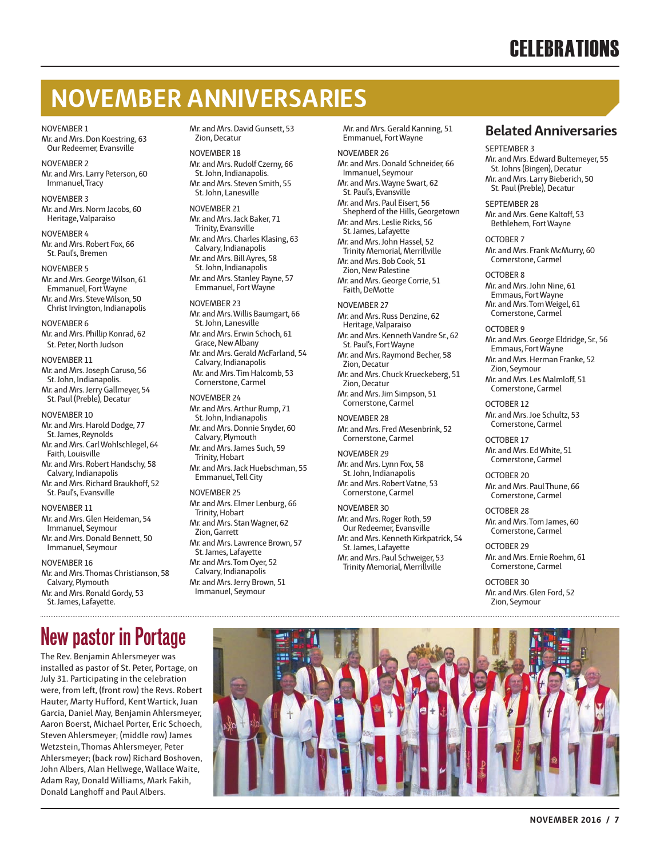# **CELEBRATIONS**

# **NOVEMBER ANNIVERSARIES**

### NOVEMBER 1

Mr. and Mrs. Don Koestring, 63 Our Redeemer, Evansville

NOVEMBER 2 Mr. and Mrs. Larry Peterson, 60 Immanuel, Tracy

NOVEMBER 3 Mr. and Mrs. Norm Jacobs, 60 Heritage, Valparaiso

NOVEMBER 4 Mr. and Mrs. Robert Fox, 66 St. Paul's, Bremen

NOVEMBER 5 Mr. and Mrs. George Wilson, 61 Emmanuel, Fort Wayne Mr. and Mrs. Steve Wilson, 50 Christ Irvington, Indianapolis

NOVEMBER 6 Mr. and Mrs. Phillip Konrad, 62 St. Peter, North Judson

NOVEMBER 11 Mr. and Mrs. Joseph Caruso, 56 St. John, Indianapolis. Mr. and Mrs. Jerry Gallmeyer, 54 St. Paul (Preble), Decatur

#### NOVEMBER 10

Mr. and Mrs. Harold Dodge, 77 St. James, Reynolds

Mr. and Mrs. Carl Wohlschlegel, 64 Faith, Louisville

Mr. and Mrs. Robert Handschy, 58 Calvary, Indianapolis Mr. and Mrs. Richard Braukhoff, 52

NOVEMBER 11

St. Paul's, Evansville

Mr. and Mrs. Glen Heideman, 54 Immanuel, Seymour Mr. and Mrs. Donald Bennett, 50 Immanuel, Seymour

NOVEMBER 16

Mr. and Mrs. Thomas Christianson, 58 Calvary, Plymouth Mr. and Mrs. Ronald Gordy, 53 St. James, Lafayette.

# **New pastor in Portage**

The Rev. Benjamin Ahlersmeyer was installed as pastor of St. Peter, Portage, on July 31. Participating in the celebration were, from left, (front row) the Revs. Robert Hauter, Marty Hufford, Kent Wartick, Juan Garcia, Daniel May, Benjamin Ahlersmeyer, Aaron Boerst, Michael Porter, Eric Schoech, Steven Ahlersmeyer; (middle row) James Wetzstein, Thomas Ahlersmeyer, Peter Ahlersmeyer; (back row) Richard Boshoven, John Albers, Alan Hellwege, Wallace Waite, Adam Ray, Donald Williams, Mark Fakih, Donald Langhoff and Paul Albers.

Mr. and Mrs. David Gunsett, 53 Zion, Decatur

NOVEMBER 18 Mr. and Mrs. Rudolf Czerny, 66 St. John, Indianapolis. Mr. and Mrs. Steven Smith, 55 St. John, Lanesville

NOVEMBER 21 Mr. and Mrs. Jack Baker, 71 Trinity, Evansville Mr. and Mrs. Charles Klasing, 63 Calvary, Indianapolis Mr. and Mrs. Bill Ayres, 58 St. John, Indianapolis Mr. and Mrs. Stanley Payne, 57 Emmanuel, Fort Wayne

NOVEMBER 23 Mr. and Mrs. Willis Baumgart, 66 St. John, Lanesville Mr. and Mrs. Erwin Schoch, 61 Grace, New Albany Mr. and Mrs. Gerald McFarland, 54 Calvary, Indianapolis Mr. and Mrs. Tim Halcomb, 53 Cornerstone, Carmel

## NOVEMBER 24

Mr. and Mrs. Arthur Rump, 71 St. John, Indianapolis Mr. and Mrs. Donnie Snyder, 60 Calvary, Plymouth Mr. and Mrs. James Such, 59 Trinity, Hobart Mr. and Mrs. Jack Huebschman, 55 Emmanuel, Tell City

NOVEMBER 25

Mr. and Mrs. Elmer Lenburg, 66 Trinity, Hobart Mr. and Mrs. Stan Wagner, 62 Zion, Garrett Mr. and Mrs. Lawrence Brown, 57 St. James, Lafayette Mr. and Mrs. Tom Oyer, 52 Calvary, Indianapolis Mr. and Mrs. Jerry Brown, 51 Immanuel, Seymour

Mr. and Mrs. Gerald Kanning, 51 Emmanuel, Fort Wayne

NOVEMBER 26 Mr. and Mrs. Donald Schneider, 66 Immanuel, Seymour Mr. and Mrs. Wayne Swart, 62 St. Paul's, Evansville Mr. and Mrs. Paul Eisert, 56 Shepherd of the Hills, Georgetown Mr. and Mrs. Leslie Ricks, 56 St. James, Lafayette Mr. and Mrs. John Hassel, 52 Trinity Memorial, Merrillville Mr. and Mrs. Bob Cook, 51 Zion, New Palestine Mr. and Mrs. George Corrie, 51

NOVEMBER 27 Mr. and Mrs. Russ Denzine, 62 Heritage, Valparaiso Mr. and Mrs. Kenneth Vandre Sr., 62 St. Paul's, Fort Wayne Mr. and Mrs. Raymond Becher, 58 Zion, Decatur Mr. and Mrs. Chuck Krueckeberg, 51 Zion, Decatur Mr. and Mrs. Jim Simpson, 51 Cornerstone, Carmel

Faith, DeMotte

NOVEMBER 28 Mr. and Mrs. Fred Mesenbrink, 52 Cornerstone, Carmel

NOVEMBER 29 Mr. and Mrs. Lynn Fox, 58 St. John, Indianapolis Mr. and Mrs. Robert Vatne, 53 Cornerstone, Carmel

NOVEMBER 30 Mr. and Mrs. Roger Roth, 59 Our Redeemer, Evansville Mr. and Mrs. Kenneth Kirkpatrick, 54 St. James, Lafayette Mr. and Mrs. Paul Schweiger, 53 Trinity Memorial, Merrillville

## **Belated Anniversaries**

SEPTEMBER 3

Mr. and Mrs. Edward Bultemeyer, 55 St. Johns (Bingen), Decatur Mr. and Mrs. Larry Bieberich, 50 St. Paul (Preble), Decatur

## SEPTEMBER 28

Mr. and Mrs. Gene Kaltoff, 53 Bethlehem, Fort Wayne

OCTOBER 7 Mr. and Mrs. Frank McMurry, 60 Cornerstone, Carmel

#### OCTOBER 8

Mr. and Mrs. John Nine, 61 Emmaus, Fort Wayne Mr. and Mrs. Tom Weigel, 61 Cornerstone, Carmel

#### OCTOBER 9

Mr. and Mrs. George Eldridge, Sr., 56 Emmaus, Fort Wayne Mr. and Mrs. Herman Franke, 52 Zion, Seymour Mr. and Mrs. Les Malmloff, 51 Cornerstone, Carmel

OCTOBER 12 Mr. and Mrs. Joe Schultz, 53 Cornerstone, Carmel

OCTOBER 17 Mr. and Mrs. Ed White, 51 Cornerstone, Carmel

OCTOBER 20 Mr. and Mrs. Paul Thune, 66 Cornerstone, Carmel

OCTOBER 28 Mr. and Mrs. Tom James, 60 Cornerstone, Carmel

OCTOBER 29 Mr. and Mrs. Ernie Roehm, 61 Cornerstone, Carmel

OCTOBER 30 Mr. and Mrs. Glen Ford, 52 Zion, Seymour